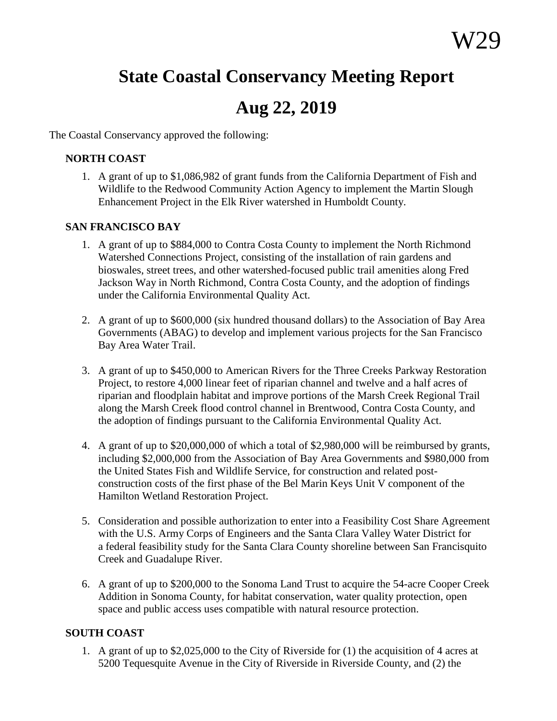# **State Coastal Conservancy Meeting Report**

# **Aug 22, 2019**

The Coastal Conservancy approved the following:

#### **NORTH COAST**

1. A grant of up to \$1,086,982 of grant funds from the California Department of Fish and Wildlife to the Redwood Community Action Agency to implement the Martin Slough Enhancement Project in the Elk River watershed in Humboldt County.

### **SAN FRANCISCO BAY**

- 1. A grant of up to \$884,000 to Contra Costa County to implement the North Richmond Watershed Connections Project, consisting of the installation of rain gardens and bioswales, street trees, and other watershed-focused public trail amenities along Fred Jackson Way in North Richmond, Contra Costa County, and the adoption of findings under the California Environmental Quality Act.
- 2. A grant of up to \$600,000 (six hundred thousand dollars) to the Association of Bay Area Governments (ABAG) to develop and implement various projects for the San Francisco Bay Area Water Trail.
- 3. A grant of up to \$450,000 to American Rivers for the Three Creeks Parkway Restoration Project, to restore 4,000 linear feet of riparian channel and twelve and a half acres of riparian and floodplain habitat and improve portions of the Marsh Creek Regional Trail along the Marsh Creek flood control channel in Brentwood, Contra Costa County, and the adoption of findings pursuant to the California Environmental Quality Act.
- 4. A grant of up to \$20,000,000 of which a total of \$2,980,000 will be reimbursed by grants, including \$2,000,000 from the Association of Bay Area Governments and \$980,000 from the United States Fish and Wildlife Service, for construction and related postconstruction costs of the first phase of the Bel Marin Keys Unit V component of the Hamilton Wetland Restoration Project.
- 5. Consideration and possible authorization to enter into a Feasibility Cost Share Agreement with the U.S. Army Corps of Engineers and the Santa Clara Valley Water District for a federal feasibility study for the Santa Clara County shoreline between San Francisquito Creek and Guadalupe River.
- 6. A grant of up to \$200,000 to the Sonoma Land Trust to acquire the 54-acre Cooper Creek Addition in Sonoma County, for habitat conservation, water quality protection, open space and public access uses compatible with natural resource protection.

### **SOUTH COAST**

1. A grant of up to \$2,025,000 to the City of Riverside for (1) the acquisition of 4 acres at 5200 Tequesquite Avenue in the City of Riverside in Riverside County, and (2) the